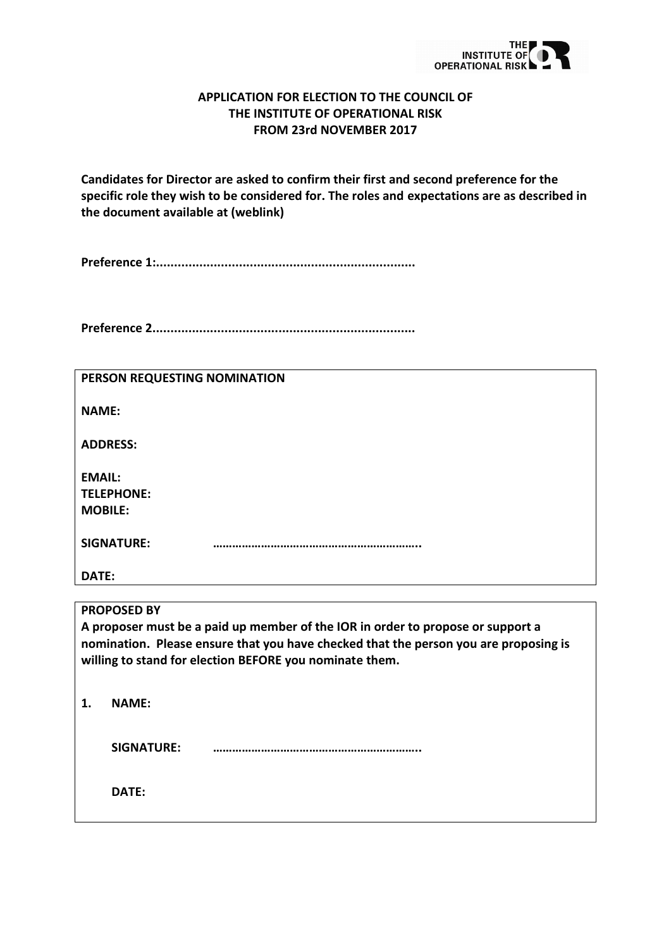

## **APPLICATION FOR ELECTION TO THE COUNCIL OF THE INSTITUTE OF OPERATIONAL RISK FROM 23rd NOVEMBER 2017**

**Candidates for Director are asked to confirm their first and second preference for the specific role they wish to be considered for. The roles and expectations are as described in the document available at (weblink)**

**Preference 1:........................................................................**

**Preference 2.........................................................................**

| PERSON REQUESTING NOMINATION                                                         |  |  |  |
|--------------------------------------------------------------------------------------|--|--|--|
| <b>NAME:</b>                                                                         |  |  |  |
| <b>ADDRESS:</b>                                                                      |  |  |  |
| <b>EMAIL:</b>                                                                        |  |  |  |
| <b>TELEPHONE:</b>                                                                    |  |  |  |
| <b>MOBILE:</b>                                                                       |  |  |  |
|                                                                                      |  |  |  |
| <b>SIGNATURE:</b>                                                                    |  |  |  |
|                                                                                      |  |  |  |
| DATE:                                                                                |  |  |  |
|                                                                                      |  |  |  |
| <b>PROPOSED BY</b>                                                                   |  |  |  |
| A proposer must be a paid up member of the IOR in order to propose or support a      |  |  |  |
| nomination. Please ensure that you have checked that the person you are proposing is |  |  |  |
| willing to stand for election BEFORE you nominate them.                              |  |  |  |
|                                                                                      |  |  |  |
|                                                                                      |  |  |  |
| <b>NAMF:</b><br>1.                                                                   |  |  |  |
|                                                                                      |  |  |  |

**SIGNATURE: ………………………………………………………..**

**DATE:**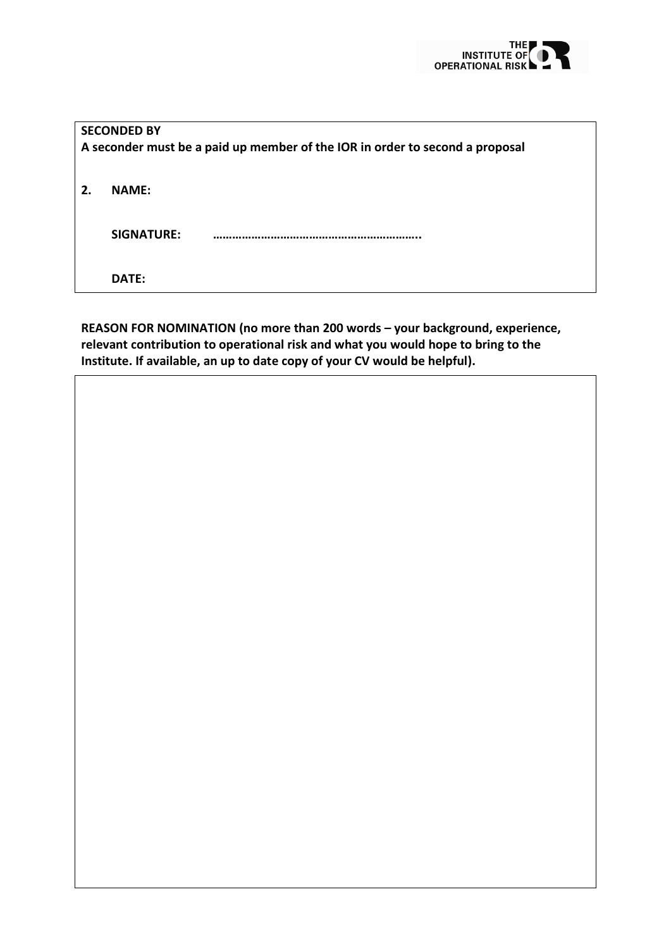

| <b>SECONDED BY</b>                                                           |              |  |  |
|------------------------------------------------------------------------------|--------------|--|--|
| A seconder must be a paid up member of the IOR in order to second a proposal |              |  |  |
| 2.                                                                           | <b>NAME:</b> |  |  |
|                                                                              | SIGNATURE:   |  |  |
|                                                                              | DATE:        |  |  |

**REASON FOR NOMINATION (no more than 200 words – your background, experience, relevant contribution to operational risk and what you would hope to bring to the Institute. If available, an up to date copy of your CV would be helpful).**